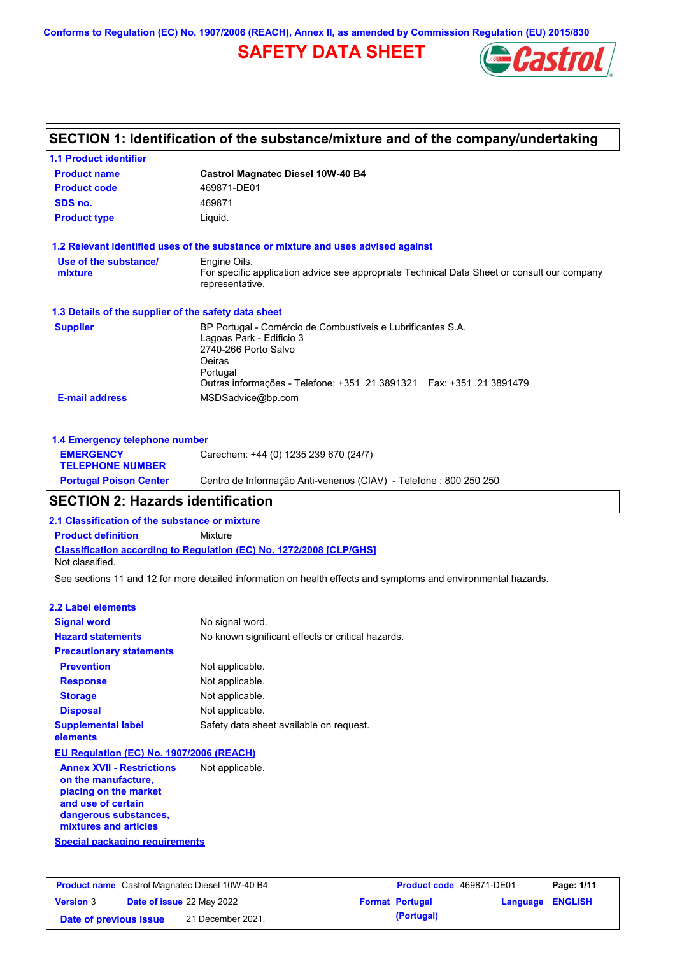**Conforms to Regulation (EC) No. 1907/2006 (REACH), Annex II, as amended by Commission Regulation (EU) 2015/830**

## **SAFETY DATA SHEET**



|                                                      | SECTION 1: Identification of the substance/mixture and of the company/undertaking                                                                                                                             |
|------------------------------------------------------|---------------------------------------------------------------------------------------------------------------------------------------------------------------------------------------------------------------|
| <b>1.1 Product identifier</b>                        |                                                                                                                                                                                                               |
| <b>Product name</b>                                  | <b>Castrol Magnatec Diesel 10W-40 B4</b>                                                                                                                                                                      |
| <b>Product code</b>                                  | 469871-DE01                                                                                                                                                                                                   |
| SDS no.                                              | 469871                                                                                                                                                                                                        |
| <b>Product type</b>                                  | Liquid.                                                                                                                                                                                                       |
|                                                      | 1.2 Relevant identified uses of the substance or mixture and uses advised against                                                                                                                             |
| Use of the substance/                                | Engine Oils.                                                                                                                                                                                                  |
| mixture                                              | For specific application advice see appropriate Technical Data Sheet or consult our company<br>representative.                                                                                                |
| 1.3 Details of the supplier of the safety data sheet |                                                                                                                                                                                                               |
| <b>Supplier</b>                                      | BP Portugal - Comércio de Combustíveis e Lubrificantes S.A.<br>Lagoas Park - Edificio 3<br>2740-266 Porto Salvo<br>Oeiras<br>Portugal<br>Outras informações - Telefone: +351 21 3891321  Fax: +351 21 3891479 |
| <b>E-mail address</b>                                | MSDSadvice@bp.com                                                                                                                                                                                             |
| 1.4 Emergency telephone number                       |                                                                                                                                                                                                               |
| <b>EMERGENCY</b><br><b>TELEPHONE NUMBER</b>          | Carechem: +44 (0) 1235 239 670 (24/7)                                                                                                                                                                         |
| <b>Portugal Poison Center</b>                        | Centro de Informação Anti-venenos (CIAV) - Telefone : 800 250 250                                                                                                                                             |

## **SECTION 2: Hazards identification**

**2.1 Classification of the substance or mixture**

**Product definition** Mixture

**Classification according to Regulation (EC) No. 1272/2008 [CLP/GHS]** Not classified.

See sections 11 and 12 for more detailed information on health effects and symptoms and environmental hazards.

#### **2.2 Label elements**

| <b>Signal word</b>                       | No signal word.                                   |
|------------------------------------------|---------------------------------------------------|
| <b>Hazard statements</b>                 | No known significant effects or critical hazards. |
| <b>Precautionary statements</b>          |                                                   |
| <b>Prevention</b>                        | Not applicable.                                   |
| <b>Response</b>                          | Not applicable.                                   |
| <b>Storage</b>                           | Not applicable.                                   |
| <b>Disposal</b>                          | Not applicable.                                   |
| <b>Supplemental label</b><br>elements    | Safety data sheet available on request.           |
| EU Regulation (EC) No. 1907/2006 (REACH) |                                                   |

**Annex XVII - Restrictions on the manufacture, placing on the market and use of certain dangerous substances, mixtures and articles** Not applicable.

**Special packaging requirements**

|                        | <b>Product name</b> Castrol Magnatec Diesel 10W-40 B4 |                           | <b>Product code</b> 469871-DE01 |                         | Page: 1/11 |
|------------------------|-------------------------------------------------------|---------------------------|---------------------------------|-------------------------|------------|
| <b>Version 3</b>       |                                                       | Date of issue 22 May 2022 | <b>Format Portugal</b>          | <b>Language ENGLISH</b> |            |
| Date of previous issue |                                                       | 21 December 2021.         | (Portugal)                      |                         |            |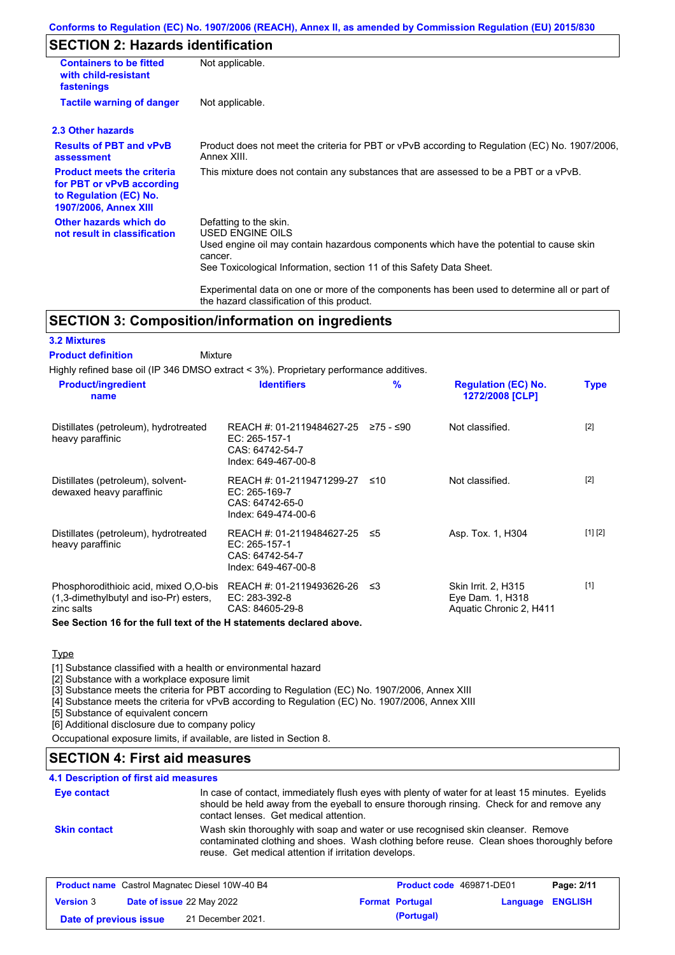#### **Conforms to Regulation (EC) No. 1907/2006 (REACH), Annex II, as amended by Commission Regulation (EU) 2015/830**

## **SECTION 2: Hazards identification**

| <b>Containers to be fitted</b><br>with child-resistant<br>fastenings                                                     | Not applicable.                                                                                                                                                                                                          |
|--------------------------------------------------------------------------------------------------------------------------|--------------------------------------------------------------------------------------------------------------------------------------------------------------------------------------------------------------------------|
| <b>Tactile warning of danger</b>                                                                                         | Not applicable.                                                                                                                                                                                                          |
| 2.3 Other hazards                                                                                                        |                                                                                                                                                                                                                          |
| <b>Results of PBT and vPvB</b><br>assessment                                                                             | Product does not meet the criteria for PBT or vPvB according to Regulation (EC) No. 1907/2006,<br>Annex XIII.                                                                                                            |
| <b>Product meets the criteria</b><br>for PBT or vPvB according<br>to Regulation (EC) No.<br><b>1907/2006, Annex XIII</b> | This mixture does not contain any substances that are assessed to be a PBT or a vPvB.                                                                                                                                    |
| Other hazards which do<br>not result in classification                                                                   | Defatting to the skin.<br>USED ENGINE OILS<br>Used engine oil may contain hazardous components which have the potential to cause skin<br>cancer.<br>See Toxicological Information, section 11 of this Safety Data Sheet. |
|                                                                                                                          | Experimental data on one or more of the components has been used to determine all or part of                                                                                                                             |

## **SECTION 3: Composition/information on ingredients**

#### **3.2 Mixtures**

#### Mixture **Product definition**

Highly refined base oil (IP 346 DMSO extract < 3%). Proprietary performance additives.

the hazard classification of this product.

| <b>Product/ingredient</b><br>name                                                             | <b>Identifiers</b>                                                                      | $\frac{9}{6}$ | <b>Regulation (EC) No.</b><br>1272/2008 [CLP]                      | <b>Type</b> |
|-----------------------------------------------------------------------------------------------|-----------------------------------------------------------------------------------------|---------------|--------------------------------------------------------------------|-------------|
| Distillates (petroleum), hydrotreated<br>heavy paraffinic                                     | REACH #: 01-2119484627-25<br>EC: 265-157-1<br>CAS: 64742-54-7<br>Index: 649-467-00-8    | ≥75 - ≤90     | Not classified.                                                    | $[2]$       |
| Distillates (petroleum), solvent-<br>dewaxed heavy paraffinic                                 | REACH #: 01-2119471299-27<br>EC: 265-169-7<br>CAS: 64742-65-0<br>Index: 649-474-00-6    | ≤10           | Not classified.                                                    | $[2]$       |
| Distillates (petroleum), hydrotreated<br>heavy paraffinic                                     | REACH #: 01-2119484627-25 ≤5<br>EC: 265-157-1<br>CAS: 64742-54-7<br>Index: 649-467-00-8 |               | Asp. Tox. 1, H304                                                  | [1] [2]     |
| Phosphorodithioic acid, mixed O.O-bis<br>(1,3-dimethylbutyl and iso-Pr) esters,<br>zinc salts | REACH #: 01-2119493626-26<br>EC: 283-392-8<br>CAS: 84605-29-8                           | -≤3           | Skin Irrit. 2, H315<br>Eye Dam. 1, H318<br>Aquatic Chronic 2, H411 | $[1]$       |

#### **See Section 16 for the full text of the H statements declared above.**

#### **Type**

[1] Substance classified with a health or environmental hazard

[2] Substance with a workplace exposure limit

[3] Substance meets the criteria for PBT according to Regulation (EC) No. 1907/2006, Annex XIII

[4] Substance meets the criteria for vPvB according to Regulation (EC) No. 1907/2006, Annex XIII

[5] Substance of equivalent concern

[6] Additional disclosure due to company policy

Occupational exposure limits, if available, are listed in Section 8.

## **SECTION 4: First aid measures**

### **4.1 Description of first aid measures**

| <b>Eye contact</b>  | In case of contact, immediately flush eyes with plenty of water for at least 15 minutes. Eyelids<br>should be held away from the eyeball to ensure thorough rinsing. Check for and remove any<br>contact lenses. Get medical attention. |
|---------------------|-----------------------------------------------------------------------------------------------------------------------------------------------------------------------------------------------------------------------------------------|
| <b>Skin contact</b> | Wash skin thoroughly with soap and water or use recognised skin cleanser. Remove<br>contaminated clothing and shoes. Wash clothing before reuse. Clean shoes thoroughly before<br>reuse. Get medical attention if irritation develops.  |

|                        | <b>Product name</b> Castrol Magnatec Diesel 10W-40 B4 | <b>Product code</b> 469871-DE01 |          | Page: 2/11     |
|------------------------|-------------------------------------------------------|---------------------------------|----------|----------------|
| <b>Version 3</b>       | <b>Date of issue 22 May 2022</b>                      | <b>Format Portugal</b>          | Language | <b>ENGLISH</b> |
| Date of previous issue | 21 December 2021.                                     | (Portugal)                      |          |                |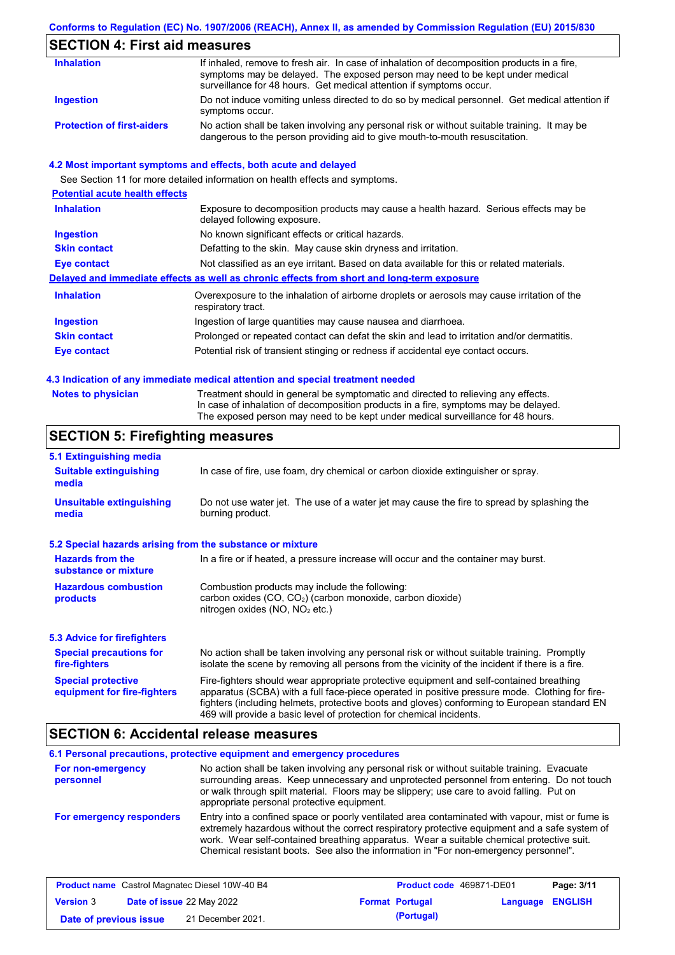### **Conforms to Regulation (EC) No. 1907/2006 (REACH), Annex II, as amended by Commission Regulation (EU) 2015/830**

## **SECTION 4: First aid measures**

| <b>Inhalation</b>                 | If inhaled, remove to fresh air. In case of inhalation of decomposition products in a fire,<br>symptoms may be delayed. The exposed person may need to be kept under medical<br>surveillance for 48 hours. Get medical attention if symptoms occur. |
|-----------------------------------|-----------------------------------------------------------------------------------------------------------------------------------------------------------------------------------------------------------------------------------------------------|
| Ingestion                         | Do not induce vomiting unless directed to do so by medical personnel. Get medical attention if<br>symptoms occur.                                                                                                                                   |
| <b>Protection of first-aiders</b> | No action shall be taken involving any personal risk or without suitable training. It may be<br>dangerous to the person providing aid to give mouth-to-mouth resuscitation.                                                                         |

#### **4.2 Most important symptoms and effects, both acute and delayed**

See Section 11 for more detailed information on health effects and symptoms. **Potential acute health effects Inhalation** Exposure to decomposition products may cause a health hazard. Serious effects may be delayed following exposure. **Ingestion** No known significant effects or critical hazards. **Skin contact** Defatting to the skin. May cause skin dryness and irritation. **Eye contact** Not classified as an eye irritant. Based on data available for this or related materials. **Delayed and immediate effects as well as chronic effects from short and long-term exposure Inhalation Ingestion Skin contact Eye contact** Overexposure to the inhalation of airborne droplets or aerosols may cause irritation of the respiratory tract. Ingestion of large quantities may cause nausea and diarrhoea. Prolonged or repeated contact can defat the skin and lead to irritation and/or dermatitis. Potential risk of transient stinging or redness if accidental eye contact occurs.

#### **4.3 Indication of any immediate medical attention and special treatment needed**

|  | <b>Notes to physician</b> |  |  |  |  |
|--|---------------------------|--|--|--|--|
|--|---------------------------|--|--|--|--|

Treatment should in general be symptomatic and directed to relieving any effects. In case of inhalation of decomposition products in a fire, symptoms may be delayed. The exposed person may need to be kept under medical surveillance for 48 hours.

### **SECTION 5: Firefighting measures**

| 5.1 Extinguishing media                                   |                                                                                                                                                                                                                                                                                                                                                                   |  |
|-----------------------------------------------------------|-------------------------------------------------------------------------------------------------------------------------------------------------------------------------------------------------------------------------------------------------------------------------------------------------------------------------------------------------------------------|--|
| <b>Suitable extinguishing</b><br>media                    | In case of fire, use foam, dry chemical or carbon dioxide extinguisher or spray.                                                                                                                                                                                                                                                                                  |  |
| <b>Unsuitable extinguishing</b><br>media                  | Do not use water jet. The use of a water jet may cause the fire to spread by splashing the<br>burning product.                                                                                                                                                                                                                                                    |  |
| 5.2 Special hazards arising from the substance or mixture |                                                                                                                                                                                                                                                                                                                                                                   |  |
| <b>Hazards from the</b><br>substance or mixture           | In a fire or if heated, a pressure increase will occur and the container may burst.                                                                                                                                                                                                                                                                               |  |
| <b>Hazardous combustion</b><br>products                   | Combustion products may include the following:<br>carbon oxides $(CO, CO2)$ (carbon monoxide, carbon dioxide)<br>nitrogen oxides ( $NO$ , $NO2$ etc.)                                                                                                                                                                                                             |  |
| 5.3 Advice for firefighters                               |                                                                                                                                                                                                                                                                                                                                                                   |  |
| <b>Special precautions for</b><br>fire-fighters           | No action shall be taken involving any personal risk or without suitable training. Promptly<br>isolate the scene by removing all persons from the vicinity of the incident if there is a fire.                                                                                                                                                                    |  |
| <b>Special protective</b><br>equipment for fire-fighters  | Fire-fighters should wear appropriate protective equipment and self-contained breathing<br>apparatus (SCBA) with a full face-piece operated in positive pressure mode. Clothing for fire-<br>fighters (including helmets, protective boots and gloves) conforming to European standard EN<br>469 will provide a basic level of protection for chemical incidents. |  |

### **SECTION 6: Accidental release measures**

#### **6.1 Personal precautions, protective equipment and emergency procedures For non-emergency personnel For emergency responders** No action shall be taken involving any personal risk or without suitable training. Evacuate surrounding areas. Keep unnecessary and unprotected personnel from entering. Do not touch or walk through spilt material. Floors may be slippery; use care to avoid falling. Put on appropriate personal protective equipment. Entry into a confined space or poorly ventilated area contaminated with vapour, mist or fume is extremely hazardous without the correct respiratory protective equipment and a safe system of work. Wear self-contained breathing apparatus. Wear a suitable chemical protective suit. Chemical resistant boots. See also the information in "For non-emergency personnel".

| <b>Product name</b> Castrol Magnatec Diesel 10W-40 B4 |  | <b>Product code</b> 469871-DE01  | Page: 3/11             |                  |
|-------------------------------------------------------|--|----------------------------------|------------------------|------------------|
| <b>Version 3</b>                                      |  | <b>Date of issue 22 May 2022</b> | <b>Format Portugal</b> | Language ENGLISH |
| Date of previous issue                                |  | 21 December 2021.                | (Portugal)             |                  |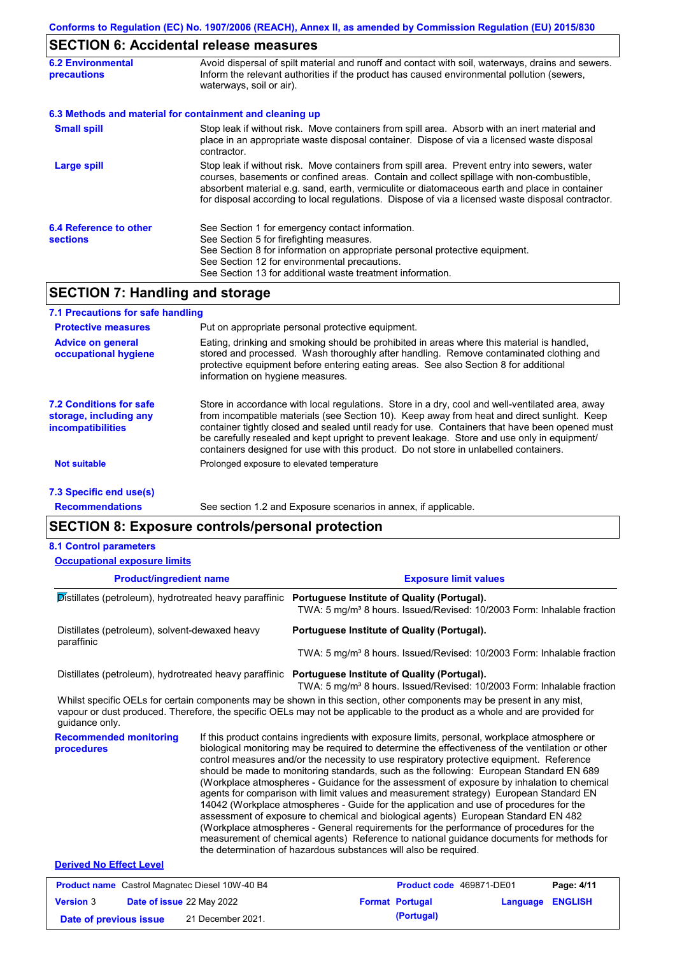## **SECTION 6: Accidental release measures**

| <b>6.2 Environmental</b><br><b>precautions</b> | Avoid dispersal of spilt material and runoff and contact with soil, waterways, drains and sewers.<br>Inform the relevant authorities if the product has caused environmental pollution (sewers,<br>waterways, soil or air).                                                                                                                                                                    |
|------------------------------------------------|------------------------------------------------------------------------------------------------------------------------------------------------------------------------------------------------------------------------------------------------------------------------------------------------------------------------------------------------------------------------------------------------|
|                                                | 6.3 Methods and material for containment and cleaning up                                                                                                                                                                                                                                                                                                                                       |
| <b>Small spill</b>                             | Stop leak if without risk. Move containers from spill area. Absorb with an inert material and<br>place in an appropriate waste disposal container. Dispose of via a licensed waste disposal<br>contractor.                                                                                                                                                                                     |
| <b>Large spill</b>                             | Stop leak if without risk. Move containers from spill area. Prevent entry into sewers, water<br>courses, basements or confined areas. Contain and collect spillage with non-combustible,<br>absorbent material e.g. sand, earth, vermiculite or diatomaceous earth and place in container<br>for disposal according to local regulations. Dispose of via a licensed waste disposal contractor. |
| 6.4 Reference to other<br><b>sections</b>      | See Section 1 for emergency contact information.<br>See Section 5 for firefighting measures.<br>See Section 8 for information on appropriate personal protective equipment.<br>See Section 12 for environmental precautions.<br>See Section 13 for additional waste treatment information.                                                                                                     |

## **SECTION 7: Handling and storage**

| 7.1 Precautions for safe handling                                                    |                                                                                                                                                                                                                                                                                                                                                                                                                                                                                          |
|--------------------------------------------------------------------------------------|------------------------------------------------------------------------------------------------------------------------------------------------------------------------------------------------------------------------------------------------------------------------------------------------------------------------------------------------------------------------------------------------------------------------------------------------------------------------------------------|
| <b>Protective measures</b>                                                           | Put on appropriate personal protective equipment.                                                                                                                                                                                                                                                                                                                                                                                                                                        |
| <b>Advice on general</b><br>occupational hygiene                                     | Eating, drinking and smoking should be prohibited in areas where this material is handled,<br>stored and processed. Wash thoroughly after handling. Remove contaminated clothing and<br>protective equipment before entering eating areas. See also Section 8 for additional<br>information on hygiene measures.                                                                                                                                                                         |
| <b>7.2 Conditions for safe</b><br>storage, including any<br><i>incompatibilities</i> | Store in accordance with local requlations. Store in a dry, cool and well-ventilated area, away<br>from incompatible materials (see Section 10). Keep away from heat and direct sunlight. Keep<br>container tightly closed and sealed until ready for use. Containers that have been opened must<br>be carefully resealed and kept upright to prevent leakage. Store and use only in equipment/<br>containers designed for use with this product. Do not store in unlabelled containers. |
| <b>Not suitable</b>                                                                  | Prolonged exposure to elevated temperature                                                                                                                                                                                                                                                                                                                                                                                                                                               |
| 7.3 Specific end use(s)                                                              |                                                                                                                                                                                                                                                                                                                                                                                                                                                                                          |
| <b>Recommendations</b>                                                               | See section 1.2 and Exposure scenarios in annex, if applicable.                                                                                                                                                                                                                                                                                                                                                                                                                          |

## **SECTION 8: Exposure controls/personal protection**

#### **8.1 Control parameters**

**Product/ingredient name Exposure limit values Recommended monitoring procedures** If this product contains ingredients with exposure limits, personal, workplace atmosphere or biological monitoring may be required to determine the effectiveness of the ventilation or other control measures and/or the necessity to use respiratory protective equipment. Reference should be made to monitoring standards, such as the following: European Standard EN 689 (Workplace atmospheres - Guidance for the assessment of exposure by inhalation to chemical agents for comparison with limit values and measurement strategy) European Standard EN 14042 (Workplace atmospheres - Guide for the application and use of procedures for the Whilst specific OELs for certain components may be shown in this section, other components may be present in any mist, vapour or dust produced. Therefore, the specific OELs may not be applicable to the product as a whole and are provided for guidance only. **Occupational exposure limits** Distillates (petroleum), hydrotreated heavy paraffinic **Portuguese Institute of Quality (Portugal).** TWA: 5 mg/m<sup>3</sup> 8 hours. Issued/Revised: 10/2003 Form: Inhalable fraction Distillates (petroleum), solvent-dewaxed heavy paraffinic **Portuguese Institute of Quality (Portugal).** TWA: 5 mg/m<sup>3</sup> 8 hours. Issued/Revised: 10/2003 Form: Inhalable fraction Distillates (petroleum), hydrotreated heavy paraffinic **Portuguese Institute of Quality (Portugal).** TWA: 5 mg/m<sup>3</sup> 8 hours. Issued/Revised: 10/2003 Form: Inhalable fraction

> assessment of exposure to chemical and biological agents) European Standard EN 482 (Workplace atmospheres - General requirements for the performance of procedures for the measurement of chemical agents) Reference to national guidance documents for methods for

#### **Derived No Effect Level**

|                        | <b>Product name</b> Castrol Magnatec Diesel 10W-40 B4 | <b>Product code</b> 469871-DE01 |                         | Page: 4/11 |
|------------------------|-------------------------------------------------------|---------------------------------|-------------------------|------------|
| <b>Version 3</b>       | <b>Date of issue 22 May 2022</b>                      | <b>Format Portugal</b>          | <b>Language ENGLISH</b> |            |
| Date of previous issue | 21 December 2021.                                     | (Portugal)                      |                         |            |

the determination of hazardous substances will also be required.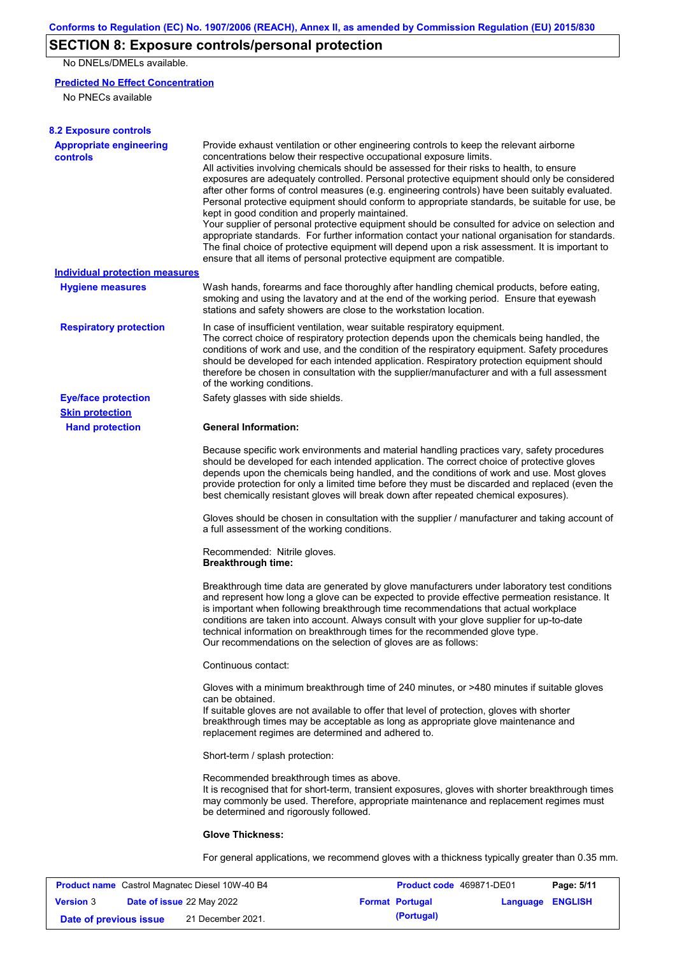## **SECTION 8: Exposure controls/personal protection**

No DNELs/DMELs available.

### **Predicted No Effect Concentration**

No PNECs available

| <b>8.2 Exposure controls</b>               |                                                                                                                                                                                                                                                                                                                                                                                                                                                                                                                                                                                                                                                                                                                                                                                                                                                                                                                                                                                                         |
|--------------------------------------------|---------------------------------------------------------------------------------------------------------------------------------------------------------------------------------------------------------------------------------------------------------------------------------------------------------------------------------------------------------------------------------------------------------------------------------------------------------------------------------------------------------------------------------------------------------------------------------------------------------------------------------------------------------------------------------------------------------------------------------------------------------------------------------------------------------------------------------------------------------------------------------------------------------------------------------------------------------------------------------------------------------|
| <b>Appropriate engineering</b><br>controls | Provide exhaust ventilation or other engineering controls to keep the relevant airborne<br>concentrations below their respective occupational exposure limits.<br>All activities involving chemicals should be assessed for their risks to health, to ensure<br>exposures are adequately controlled. Personal protective equipment should only be considered<br>after other forms of control measures (e.g. engineering controls) have been suitably evaluated.<br>Personal protective equipment should conform to appropriate standards, be suitable for use, be<br>kept in good condition and properly maintained.<br>Your supplier of personal protective equipment should be consulted for advice on selection and<br>appropriate standards. For further information contact your national organisation for standards.<br>The final choice of protective equipment will depend upon a risk assessment. It is important to<br>ensure that all items of personal protective equipment are compatible. |
| <b>Individual protection measures</b>      |                                                                                                                                                                                                                                                                                                                                                                                                                                                                                                                                                                                                                                                                                                                                                                                                                                                                                                                                                                                                         |
| <b>Hygiene measures</b>                    | Wash hands, forearms and face thoroughly after handling chemical products, before eating,<br>smoking and using the lavatory and at the end of the working period. Ensure that eyewash<br>stations and safety showers are close to the workstation location.                                                                                                                                                                                                                                                                                                                                                                                                                                                                                                                                                                                                                                                                                                                                             |
| <b>Respiratory protection</b>              | In case of insufficient ventilation, wear suitable respiratory equipment.<br>The correct choice of respiratory protection depends upon the chemicals being handled, the<br>conditions of work and use, and the condition of the respiratory equipment. Safety procedures<br>should be developed for each intended application. Respiratory protection equipment should<br>therefore be chosen in consultation with the supplier/manufacturer and with a full assessment<br>of the working conditions.                                                                                                                                                                                                                                                                                                                                                                                                                                                                                                   |
| <b>Eye/face protection</b>                 | Safety glasses with side shields.                                                                                                                                                                                                                                                                                                                                                                                                                                                                                                                                                                                                                                                                                                                                                                                                                                                                                                                                                                       |
| <b>Skin protection</b>                     |                                                                                                                                                                                                                                                                                                                                                                                                                                                                                                                                                                                                                                                                                                                                                                                                                                                                                                                                                                                                         |
| <b>Hand protection</b>                     | <b>General Information:</b>                                                                                                                                                                                                                                                                                                                                                                                                                                                                                                                                                                                                                                                                                                                                                                                                                                                                                                                                                                             |
|                                            | Because specific work environments and material handling practices vary, safety procedures<br>should be developed for each intended application. The correct choice of protective gloves<br>depends upon the chemicals being handled, and the conditions of work and use. Most gloves<br>provide protection for only a limited time before they must be discarded and replaced (even the<br>best chemically resistant gloves will break down after repeated chemical exposures).                                                                                                                                                                                                                                                                                                                                                                                                                                                                                                                        |
|                                            | Gloves should be chosen in consultation with the supplier / manufacturer and taking account of<br>a full assessment of the working conditions.                                                                                                                                                                                                                                                                                                                                                                                                                                                                                                                                                                                                                                                                                                                                                                                                                                                          |
|                                            | Recommended: Nitrile gloves.<br><b>Breakthrough time:</b>                                                                                                                                                                                                                                                                                                                                                                                                                                                                                                                                                                                                                                                                                                                                                                                                                                                                                                                                               |
|                                            | Breakthrough time data are generated by glove manufacturers under laboratory test conditions<br>and represent how long a glove can be expected to provide effective permeation resistance. It<br>is important when following breakthrough time recommendations that actual workplace<br>conditions are taken into account. Always consult with your glove supplier for up-to-date<br>technical information on breakthrough times for the recommended glove type.<br>Our recommendations on the selection of gloves are as follows:                                                                                                                                                                                                                                                                                                                                                                                                                                                                      |
|                                            | Continuous contact:                                                                                                                                                                                                                                                                                                                                                                                                                                                                                                                                                                                                                                                                                                                                                                                                                                                                                                                                                                                     |
|                                            | Gloves with a minimum breakthrough time of 240 minutes, or >480 minutes if suitable gloves<br>can be obtained.<br>If suitable gloves are not available to offer that level of protection, gloves with shorter<br>breakthrough times may be acceptable as long as appropriate glove maintenance and<br>replacement regimes are determined and adhered to.                                                                                                                                                                                                                                                                                                                                                                                                                                                                                                                                                                                                                                                |
|                                            | Short-term / splash protection:                                                                                                                                                                                                                                                                                                                                                                                                                                                                                                                                                                                                                                                                                                                                                                                                                                                                                                                                                                         |
|                                            | Recommended breakthrough times as above.<br>It is recognised that for short-term, transient exposures, gloves with shorter breakthrough times<br>may commonly be used. Therefore, appropriate maintenance and replacement regimes must<br>be determined and rigorously followed.                                                                                                                                                                                                                                                                                                                                                                                                                                                                                                                                                                                                                                                                                                                        |
|                                            | <b>Glove Thickness:</b>                                                                                                                                                                                                                                                                                                                                                                                                                                                                                                                                                                                                                                                                                                                                                                                                                                                                                                                                                                                 |
|                                            | For general applications, we recommend gloves with a thickness typically greater than 0.35 mm.                                                                                                                                                                                                                                                                                                                                                                                                                                                                                                                                                                                                                                                                                                                                                                                                                                                                                                          |

|                        | <b>Product name</b> Castrol Magnatec Diesel 10W-40 B4 | <b>Product code</b> 469871-DE01 |                         | Page: 5/11 |
|------------------------|-------------------------------------------------------|---------------------------------|-------------------------|------------|
| <b>Version 3</b>       | <b>Date of issue 22 May 2022</b>                      | <b>Format Portugal</b>          | <b>Language ENGLISH</b> |            |
| Date of previous issue | 21 December 2021.                                     | (Portugal)                      |                         |            |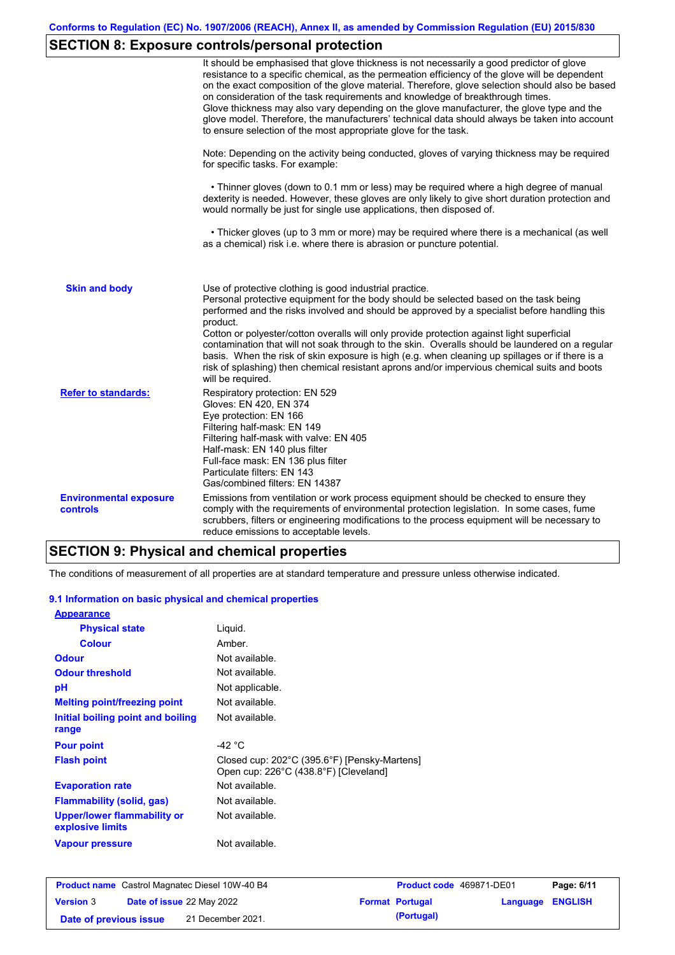# **SECTION 8: Exposure controls/personal protection**

|                                           | It should be emphasised that glove thickness is not necessarily a good predictor of glove<br>resistance to a specific chemical, as the permeation efficiency of the glove will be dependent<br>on the exact composition of the glove material. Therefore, glove selection should also be based<br>on consideration of the task requirements and knowledge of breakthrough times.<br>Glove thickness may also vary depending on the glove manufacturer, the glove type and the<br>glove model. Therefore, the manufacturers' technical data should always be taken into account<br>to ensure selection of the most appropriate glove for the task.                                     |
|-------------------------------------------|---------------------------------------------------------------------------------------------------------------------------------------------------------------------------------------------------------------------------------------------------------------------------------------------------------------------------------------------------------------------------------------------------------------------------------------------------------------------------------------------------------------------------------------------------------------------------------------------------------------------------------------------------------------------------------------|
|                                           | Note: Depending on the activity being conducted, gloves of varying thickness may be required<br>for specific tasks. For example:                                                                                                                                                                                                                                                                                                                                                                                                                                                                                                                                                      |
|                                           | • Thinner gloves (down to 0.1 mm or less) may be required where a high degree of manual<br>dexterity is needed. However, these gloves are only likely to give short duration protection and<br>would normally be just for single use applications, then disposed of.                                                                                                                                                                                                                                                                                                                                                                                                                  |
|                                           | • Thicker gloves (up to 3 mm or more) may be required where there is a mechanical (as well<br>as a chemical) risk i.e. where there is abrasion or puncture potential.                                                                                                                                                                                                                                                                                                                                                                                                                                                                                                                 |
| <b>Skin and body</b>                      | Use of protective clothing is good industrial practice.<br>Personal protective equipment for the body should be selected based on the task being<br>performed and the risks involved and should be approved by a specialist before handling this<br>product.<br>Cotton or polyester/cotton overalls will only provide protection against light superficial<br>contamination that will not soak through to the skin. Overalls should be laundered on a regular<br>basis. When the risk of skin exposure is high (e.g. when cleaning up spillages or if there is a<br>risk of splashing) then chemical resistant aprons and/or impervious chemical suits and boots<br>will be required. |
| <b>Refer to standards:</b>                | Respiratory protection: EN 529<br>Gloves: EN 420, EN 374<br>Eye protection: EN 166<br>Filtering half-mask: EN 149<br>Filtering half-mask with valve: EN 405<br>Half-mask: EN 140 plus filter<br>Full-face mask: EN 136 plus filter<br>Particulate filters: EN 143<br>Gas/combined filters: EN 14387                                                                                                                                                                                                                                                                                                                                                                                   |
| <b>Environmental exposure</b><br>controls | Emissions from ventilation or work process equipment should be checked to ensure they<br>comply with the requirements of environmental protection legislation. In some cases, fume<br>scrubbers, filters or engineering modifications to the process equipment will be necessary to<br>reduce emissions to acceptable levels.                                                                                                                                                                                                                                                                                                                                                         |

# **SECTION 9: Physical and chemical properties**

The conditions of measurement of all properties are at standard temperature and pressure unless otherwise indicated.

#### **9.1 Information on basic physical and chemical properties**

| <b>Appearance</b>                                      |                                                                                       |
|--------------------------------------------------------|---------------------------------------------------------------------------------------|
| <b>Physical state</b>                                  | Liquid.                                                                               |
| <b>Colour</b>                                          | Amber.                                                                                |
| <b>Odour</b>                                           | Not available.                                                                        |
| <b>Odour threshold</b>                                 | Not available.                                                                        |
| рH                                                     | Not applicable.                                                                       |
| <b>Melting point/freezing point</b>                    | Not available.                                                                        |
| Initial boiling point and boiling<br>range             | Not available.                                                                        |
| <b>Pour point</b>                                      | -42 $^{\circ}$ C                                                                      |
| <b>Flash point</b>                                     | Closed cup: 202°C (395.6°F) [Pensky-Martens]<br>Open cup: 226°C (438.8°F) [Cleveland] |
| <b>Evaporation rate</b>                                | Not available.                                                                        |
| <b>Flammability (solid, gas)</b>                       | Not available.                                                                        |
| <b>Upper/lower flammability or</b><br>explosive limits | Not available.                                                                        |
| <b>Vapour pressure</b>                                 | Not available.                                                                        |

|                        | <b>Product name</b> Castrol Magnatec Diesel 10W-40 B4 | <b>Product code</b> 469871-DE01 |                         | Page: 6/11 |
|------------------------|-------------------------------------------------------|---------------------------------|-------------------------|------------|
| <b>Version 3</b>       | <b>Date of issue 22 May 2022</b>                      | <b>Format Portugal</b>          | <b>Language ENGLISH</b> |            |
| Date of previous issue | 21 December 2021.                                     | (Portugal)                      |                         |            |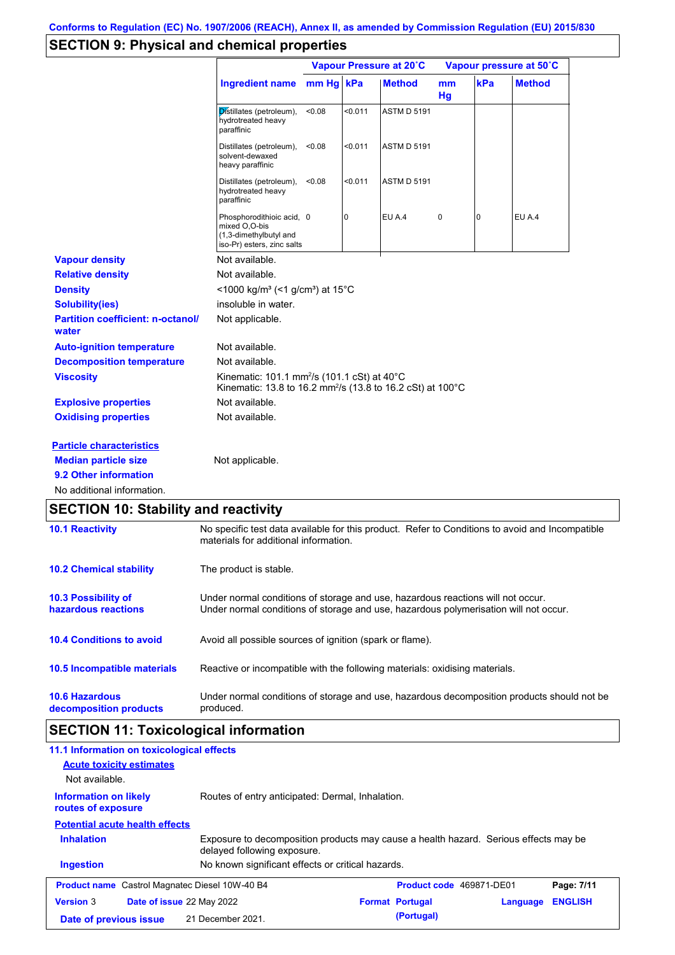## **SECTION 9: Physical and chemical properties**

|                                                   |                                                                                                                                          | Vapour Pressure at 20°C |                |                    | Vapour pressure at 50°C |     |               |
|---------------------------------------------------|------------------------------------------------------------------------------------------------------------------------------------------|-------------------------|----------------|--------------------|-------------------------|-----|---------------|
|                                                   | <b>Ingredient name</b>                                                                                                                   | mm Hg kPa               |                | <b>Method</b>      | mm<br>Hq                | kPa | <b>Method</b> |
|                                                   | Distillates (petroleum),<br>hydrotreated heavy<br>paraffinic                                                                             | <0.08                   | < 0.011        | <b>ASTM D 5191</b> |                         |     |               |
|                                                   | Distillates (petroleum),<br>solvent-dewaxed<br>heavy paraffinic                                                                          | < 0.08                  | < 0.011        | <b>ASTM D 5191</b> |                         |     |               |
|                                                   | Distillates (petroleum),<br>hydrotreated heavy<br>paraffinic                                                                             | < 0.08                  | < 0.011        | <b>ASTM D 5191</b> |                         |     |               |
|                                                   | Phosphorodithioic acid, 0<br>mixed O.O-bis<br>(1,3-dimethylbutyl and<br>iso-Pr) esters, zinc salts                                       |                         | $\overline{0}$ | EU A.4             | 0                       | 0   | EU A.4        |
| <b>Vapour density</b>                             | Not available.                                                                                                                           |                         |                |                    |                         |     |               |
| <b>Relative density</b>                           | Not available.                                                                                                                           |                         |                |                    |                         |     |               |
| <b>Density</b>                                    | <1000 kg/m <sup>3</sup> (<1 g/cm <sup>3</sup> ) at 15 <sup>°</sup> C                                                                     |                         |                |                    |                         |     |               |
| <b>Solubility(ies)</b>                            | insoluble in water.                                                                                                                      |                         |                |                    |                         |     |               |
| <b>Partition coefficient: n-octanol/</b><br>water | Not applicable.                                                                                                                          |                         |                |                    |                         |     |               |
| <b>Auto-ignition temperature</b>                  | Not available.                                                                                                                           |                         |                |                    |                         |     |               |
| <b>Decomposition temperature</b>                  | Not available.                                                                                                                           |                         |                |                    |                         |     |               |
| <b>Viscosity</b>                                  | Kinematic: 101.1 mm <sup>2</sup> /s (101.1 cSt) at 40°C<br>Kinematic: 13.8 to 16.2 mm <sup>2</sup> /s (13.8 to 16.2 cSt) at 100°C        |                         |                |                    |                         |     |               |
| <b>Explosive properties</b>                       | Not available.                                                                                                                           |                         |                |                    |                         |     |               |
| <b>Oxidising properties</b>                       | Not available.                                                                                                                           |                         |                |                    |                         |     |               |
| <b>Particle characteristics</b>                   |                                                                                                                                          |                         |                |                    |                         |     |               |
| <b>Median particle size</b>                       | Not applicable.                                                                                                                          |                         |                |                    |                         |     |               |
| 9.2 Other information                             |                                                                                                                                          |                         |                |                    |                         |     |               |
| No additional information.                        |                                                                                                                                          |                         |                |                    |                         |     |               |
| <b>SECTION 10: Stability and reactivity</b>       |                                                                                                                                          |                         |                |                    |                         |     |               |
| <b>10.1 Reactivity</b>                            | No specific test data available for this product. Refer to Conditions to avoid and Incompatible<br>materials for additional information. |                         |                |                    |                         |     |               |
| <b>10.2 Chemical stability</b>                    | The product is stable.                                                                                                                   |                         |                |                    |                         |     |               |

| <b>10.3 Possibility of</b>      | Under normal conditions of storage and use, hazardous reactions will not occur.            |
|---------------------------------|--------------------------------------------------------------------------------------------|
| hazardous reactions             | Under normal conditions of storage and use, hazardous polymerisation will not occur.       |
| <b>10.4 Conditions to avoid</b> | Avoid all possible sources of ignition (spark or flame).                                   |
| 10.5 Incompatible materials     | Reactive or incompatible with the following materials: oxidising materials.                |
| <b>10.6 Hazardous</b>           | Under normal conditions of storage and use, hazardous decomposition products should not be |
| decomposition products          | produced.                                                                                  |

# **SECTION 11: Toxicological information**

| 11.1 Information on toxicological effects<br><b>Acute toxicity estimates</b><br>Not available.                                           |                                                   |                          |          |                |  |
|------------------------------------------------------------------------------------------------------------------------------------------|---------------------------------------------------|--------------------------|----------|----------------|--|
| <b>Information on likely</b><br>routes of exposure                                                                                       | Routes of entry anticipated: Dermal, Inhalation.  |                          |          |                |  |
| <b>Potential acute health effects</b>                                                                                                    |                                                   |                          |          |                |  |
| <b>Inhalation</b><br>Exposure to decomposition products may cause a health hazard. Serious effects may be<br>delayed following exposure. |                                                   |                          |          |                |  |
| <b>Ingestion</b>                                                                                                                         | No known significant effects or critical hazards. |                          |          |                |  |
| <b>Product name</b> Castrol Magnatec Diesel 10W-40 B4                                                                                    |                                                   | Product code 469871-DE01 |          | Page: 7/11     |  |
| <b>Version 3</b><br><b>Date of issue 22 May 2022</b>                                                                                     |                                                   | <b>Format Portugal</b>   | Language | <b>ENGLISH</b> |  |
| Date of previous issue                                                                                                                   | 21 December 2021.                                 | (Portugal)               |          |                |  |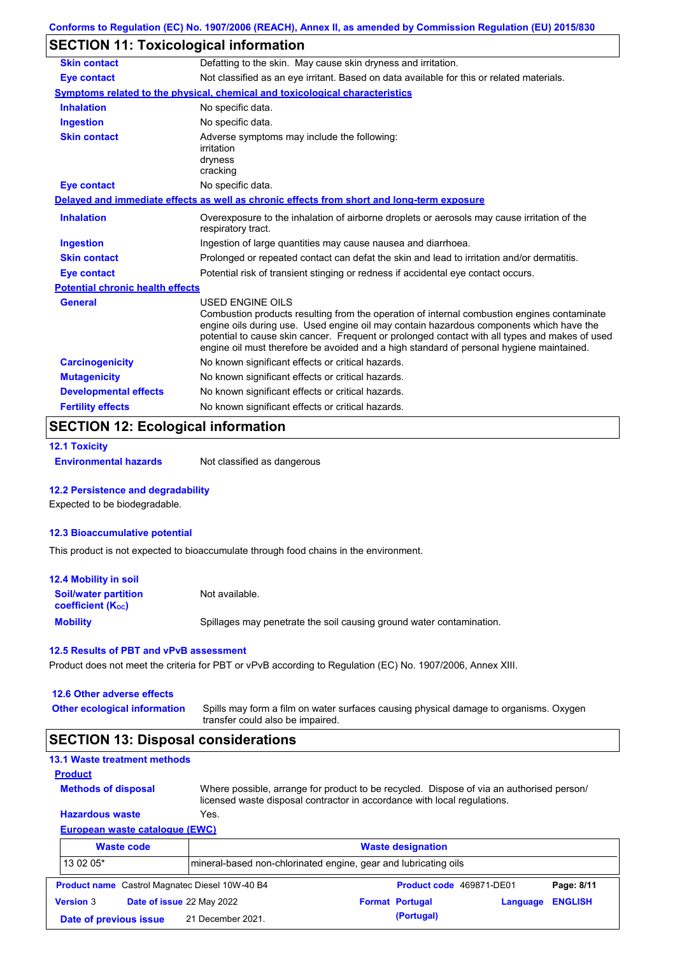## **SECTION 11: Toxicological information**

| <b>Skin contact</b>                     | Defatting to the skin. May cause skin dryness and irritation.                                                                                                                                                                                                                                                                                                                                                   |
|-----------------------------------------|-----------------------------------------------------------------------------------------------------------------------------------------------------------------------------------------------------------------------------------------------------------------------------------------------------------------------------------------------------------------------------------------------------------------|
| <b>Eye contact</b>                      | Not classified as an eye irritant. Based on data available for this or related materials.                                                                                                                                                                                                                                                                                                                       |
|                                         | Symptoms related to the physical, chemical and toxicological characteristics                                                                                                                                                                                                                                                                                                                                    |
| <b>Inhalation</b>                       | No specific data.                                                                                                                                                                                                                                                                                                                                                                                               |
| <b>Ingestion</b>                        | No specific data.                                                                                                                                                                                                                                                                                                                                                                                               |
| <b>Skin contact</b>                     | Adverse symptoms may include the following:<br>irritation<br>dryness<br>cracking                                                                                                                                                                                                                                                                                                                                |
| <b>Eye contact</b>                      | No specific data.                                                                                                                                                                                                                                                                                                                                                                                               |
|                                         | Delayed and immediate effects as well as chronic effects from short and long-term exposure                                                                                                                                                                                                                                                                                                                      |
| <b>Inhalation</b>                       | Overexposure to the inhalation of airborne droplets or aerosols may cause irritation of the<br>respiratory tract.                                                                                                                                                                                                                                                                                               |
| <b>Ingestion</b>                        | Ingestion of large quantities may cause nausea and diarrhoea.                                                                                                                                                                                                                                                                                                                                                   |
| <b>Skin contact</b>                     | Prolonged or repeated contact can defat the skin and lead to irritation and/or dermatitis.                                                                                                                                                                                                                                                                                                                      |
| Eye contact                             | Potential risk of transient stinging or redness if accidental eye contact occurs.                                                                                                                                                                                                                                                                                                                               |
| <b>Potential chronic health effects</b> |                                                                                                                                                                                                                                                                                                                                                                                                                 |
| <b>General</b>                          | <b>USED ENGINE OILS</b><br>Combustion products resulting from the operation of internal combustion engines contaminate<br>engine oils during use. Used engine oil may contain hazardous components which have the<br>potential to cause skin cancer. Frequent or prolonged contact with all types and makes of used<br>engine oil must therefore be avoided and a high standard of personal hygiene maintained. |
| <b>Carcinogenicity</b>                  | No known significant effects or critical hazards.                                                                                                                                                                                                                                                                                                                                                               |
| <b>Mutagenicity</b>                     | No known significant effects or critical hazards.                                                                                                                                                                                                                                                                                                                                                               |
| <b>Developmental effects</b>            | No known significant effects or critical hazards.                                                                                                                                                                                                                                                                                                                                                               |
| <b>Fertility effects</b>                | No known significant effects or critical hazards.                                                                                                                                                                                                                                                                                                                                                               |

## **SECTION 12: Ecological information**

```
12.1 Toxicity
```
**Environmental hazards** Not classified as dangerous

#### **12.2 Persistence and degradability**

Expected to be biodegradable.

#### **12.3 Bioaccumulative potential**

This product is not expected to bioaccumulate through food chains in the environment.

| <b>12.4 Mobility in soil</b>                            |                                                                      |
|---------------------------------------------------------|----------------------------------------------------------------------|
| <b>Soil/water partition</b><br><b>coefficient (Koc)</b> | Not available.                                                       |
| <b>Mobility</b>                                         | Spillages may penetrate the soil causing ground water contamination. |

#### **12.5 Results of PBT and vPvB assessment**

Product does not meet the criteria for PBT or vPvB according to Regulation (EC) No. 1907/2006, Annex XIII.

#### **12.6 Other adverse effects**

**Other ecological information**

Spills may form a film on water surfaces causing physical damage to organisms. Oxygen transfer could also be impaired.

## **SECTION 13: Disposal considerations**

### **13.1 Waste treatment methods**

**Methods of disposal**

**Product**

Where possible, arrange for product to be recycled. Dispose of via an authorised person/ licensed waste disposal contractor in accordance with local regulations.

#### **European waste catalogue (EWC) Hazardous waste** Yes.

|                  | <b>Waste code</b>         |                                                       | <b>Waste designation</b>                                         |                          |          |                |  |
|------------------|---------------------------|-------------------------------------------------------|------------------------------------------------------------------|--------------------------|----------|----------------|--|
| 13 02 05*        |                           |                                                       | Imineral-based non-chlorinated engine, gear and lubricating oils |                          |          |                |  |
|                  |                           | <b>Product name</b> Castrol Magnatec Diesel 10W-40 B4 |                                                                  | Product code 469871-DE01 |          | Page: 8/11     |  |
| <b>Version 3</b> | Date of issue 22 May 2022 |                                                       |                                                                  | <b>Format Portugal</b>   | Language | <b>ENGLISH</b> |  |
|                  | Date of previous issue    | 21 December 2021.                                     |                                                                  | (Portugal)               |          |                |  |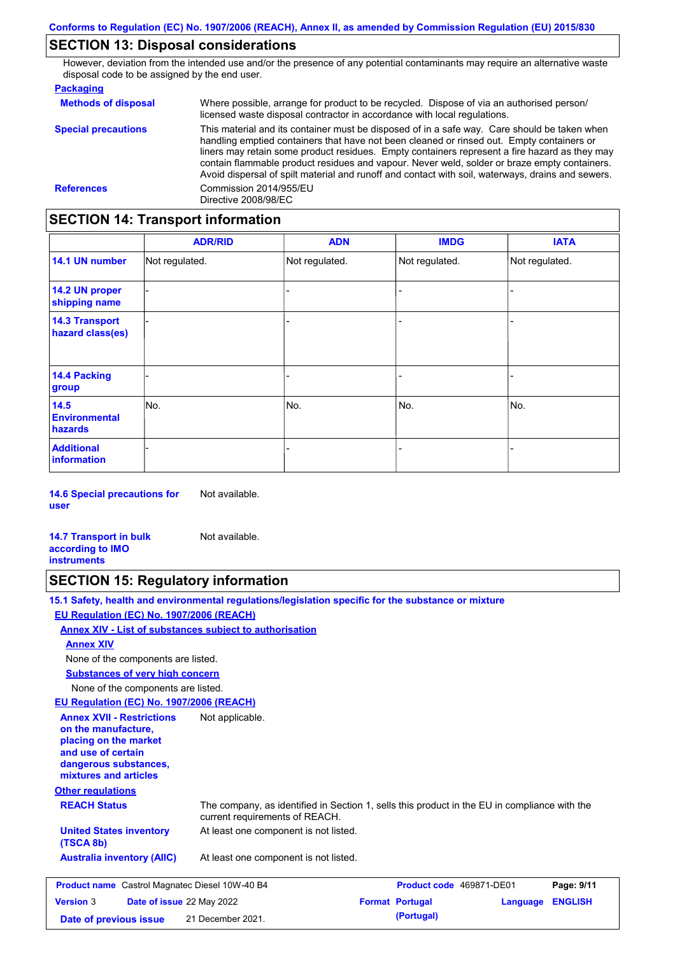## **SECTION 13: Disposal considerations**

However, deviation from the intended use and/or the presence of any potential contaminants may require an alternative waste disposal code to be assigned by the end user.

| <b>Packaging</b>           |                                                                                                                                                                                                                                                                                                                                                                                                                                                                                                 |
|----------------------------|-------------------------------------------------------------------------------------------------------------------------------------------------------------------------------------------------------------------------------------------------------------------------------------------------------------------------------------------------------------------------------------------------------------------------------------------------------------------------------------------------|
| <b>Methods of disposal</b> | Where possible, arrange for product to be recycled. Dispose of via an authorised person/<br>licensed waste disposal contractor in accordance with local regulations.                                                                                                                                                                                                                                                                                                                            |
| <b>Special precautions</b> | This material and its container must be disposed of in a safe way. Care should be taken when<br>handling emptied containers that have not been cleaned or rinsed out. Empty containers or<br>liners may retain some product residues. Empty containers represent a fire hazard as they may<br>contain flammable product residues and vapour. Never weld, solder or braze empty containers.<br>Avoid dispersal of spilt material and runoff and contact with soil, waterways, drains and sewers. |
| <b>References</b>          | Commission 2014/955/EU<br>Directive 2008/98/EC                                                                                                                                                                                                                                                                                                                                                                                                                                                  |

## **SECTION 14: Transport information**

|                                           | <b>ADR/RID</b> | <b>ADN</b>     | <b>IMDG</b>    | <b>IATA</b>    |
|-------------------------------------------|----------------|----------------|----------------|----------------|
| 14.1 UN number                            | Not regulated. | Not regulated. | Not regulated. | Not regulated. |
| 14.2 UN proper<br>shipping name           |                |                |                |                |
| <b>14.3 Transport</b><br>hazard class(es) |                |                |                |                |
| <b>14.4 Packing</b><br>group              |                |                |                |                |
| 14.5<br><b>Environmental</b><br>hazards   | No.            | No.            | No.            | No.            |
| <b>Additional</b><br>information          |                |                |                |                |

**14.6 Special precautions for user** Not available.

**14.7 Transport in bulk according to IMO instruments** Not available.

## **SECTION 15: Regulatory information**

**15.1 Safety, health and environmental regulations/legislation specific for the substance or mixture EU Regulation (EC) No. 1907/2006 (REACH)**

**Annex XIV - List of substances subject to authorisation**

**Annex XIV**

None of the components are listed.

**Substances of very high concern**

None of the components are listed.

**EU Regulation (EC) No. 1907/2006 (REACH)**

| <b>Annex XVII - Restrictions</b><br>on the manufacture.<br>placing on the market<br>and use of certain<br>dangerous substances,<br>mixtures and articles<br><b>Other regulations</b> | Not applicable.                                                                                                                |                                 |                  |                |  |  |
|--------------------------------------------------------------------------------------------------------------------------------------------------------------------------------------|--------------------------------------------------------------------------------------------------------------------------------|---------------------------------|------------------|----------------|--|--|
| <b>REACH Status</b>                                                                                                                                                                  | The company, as identified in Section 1, sells this product in the EU in compliance with the<br>current requirements of REACH. |                                 |                  |                |  |  |
| <b>United States inventory</b><br>(TSCA 8b)                                                                                                                                          | At least one component is not listed.                                                                                          |                                 |                  |                |  |  |
| <b>Australia inventory (AIIC)</b>                                                                                                                                                    | At least one component is not listed.                                                                                          |                                 |                  |                |  |  |
| <b>Product name</b> Castrol Magnatec Diesel 10W-40 B4                                                                                                                                |                                                                                                                                | <b>Product code</b> 469871-DE01 |                  | Page: 9/11     |  |  |
| <b>Version 3</b><br>Date of issue 22 May 2022                                                                                                                                        |                                                                                                                                | <b>Format Portugal</b>          | <b>Angulario</b> | <b>FNGLISH</b> |  |  |

| <b>Version 3</b>       | <b>Date of issue 22 May 2022</b> | <b>Format Portugal</b> | <b>Language ENGLISH</b> |  |
|------------------------|----------------------------------|------------------------|-------------------------|--|
| Date of previous issue | 21 December 2021.                | (Portugal)             |                         |  |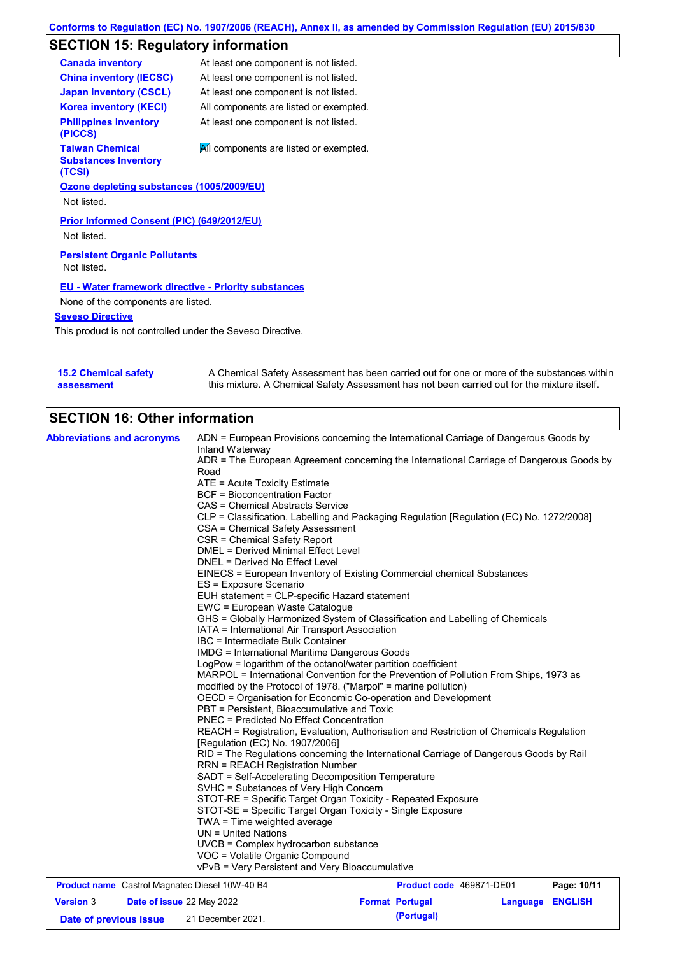# **SECTION 15: Regulatory information**

| At least one component is not listed.                       |
|-------------------------------------------------------------|
| At least one component is not listed.                       |
| At least one component is not listed.                       |
| All components are listed or exempted.                      |
| At least one component is not listed.                       |
| All components are listed or exempted.                      |
| Ozone depleting substances (1005/2009/EU)                   |
|                                                             |
| Prior Informed Consent (PIC) (649/2012/EU)                  |
| <b>Persistent Organic Pollutants</b>                        |
| <b>EU - Water framework directive - Priority substances</b> |
| None of the components are listed.                          |
|                                                             |
|                                                             |

This product is not controlled under the Seveso Directive.

| <b>15.2 Chemical safety</b> | A Chemical Safety Assessment has been carried out for one or more of the substances within  |
|-----------------------------|---------------------------------------------------------------------------------------------|
| assessment                  | this mixture. A Chemical Safety Assessment has not been carried out for the mixture itself. |

# **SECTION 16: Other information**

| <b>Abbreviations and acronyms</b>                     | ADN = European Provisions concerning the International Carriage of Dangerous Goods by                                      |                          |             |
|-------------------------------------------------------|----------------------------------------------------------------------------------------------------------------------------|--------------------------|-------------|
|                                                       | Inland Waterway<br>ADR = The European Agreement concerning the International Carriage of Dangerous Goods by                |                          |             |
|                                                       | Road                                                                                                                       |                          |             |
|                                                       | ATE = Acute Toxicity Estimate                                                                                              |                          |             |
|                                                       | <b>BCF</b> = Bioconcentration Factor                                                                                       |                          |             |
|                                                       | <b>CAS = Chemical Abstracts Service</b>                                                                                    |                          |             |
|                                                       | CLP = Classification, Labelling and Packaging Regulation [Regulation (EC) No. 1272/2008]                                   |                          |             |
|                                                       | CSA = Chemical Safety Assessment                                                                                           |                          |             |
|                                                       | CSR = Chemical Safety Report                                                                                               |                          |             |
|                                                       | <b>DMEL = Derived Minimal Effect Level</b>                                                                                 |                          |             |
|                                                       | DNEL = Derived No Effect Level                                                                                             |                          |             |
|                                                       | EINECS = European Inventory of Existing Commercial chemical Substances                                                     |                          |             |
|                                                       | ES = Exposure Scenario                                                                                                     |                          |             |
|                                                       | EUH statement = CLP-specific Hazard statement                                                                              |                          |             |
|                                                       | EWC = European Waste Catalogue                                                                                             |                          |             |
|                                                       | GHS = Globally Harmonized System of Classification and Labelling of Chemicals                                              |                          |             |
|                                                       | IATA = International Air Transport Association                                                                             |                          |             |
|                                                       | IBC = Intermediate Bulk Container                                                                                          |                          |             |
|                                                       | <b>IMDG = International Maritime Dangerous Goods</b>                                                                       |                          |             |
|                                                       | LogPow = logarithm of the octanol/water partition coefficient                                                              |                          |             |
|                                                       | MARPOL = International Convention for the Prevention of Pollution From Ships, 1973 as                                      |                          |             |
|                                                       | modified by the Protocol of 1978. ("Marpol" = marine pollution)                                                            |                          |             |
|                                                       | OECD = Organisation for Economic Co-operation and Development                                                              |                          |             |
|                                                       | PBT = Persistent, Bioaccumulative and Toxic                                                                                |                          |             |
|                                                       | <b>PNEC = Predicted No Effect Concentration</b>                                                                            |                          |             |
|                                                       | REACH = Registration, Evaluation, Authorisation and Restriction of Chemicals Regulation<br>[Regulation (EC) No. 1907/2006] |                          |             |
|                                                       | RID = The Regulations concerning the International Carriage of Dangerous Goods by Rail                                     |                          |             |
|                                                       | <b>RRN = REACH Registration Number</b>                                                                                     |                          |             |
|                                                       | SADT = Self-Accelerating Decomposition Temperature                                                                         |                          |             |
|                                                       | SVHC = Substances of Very High Concern                                                                                     |                          |             |
|                                                       | STOT-RE = Specific Target Organ Toxicity - Repeated Exposure                                                               |                          |             |
|                                                       | STOT-SE = Specific Target Organ Toxicity - Single Exposure                                                                 |                          |             |
|                                                       | $TWA = Time$ weighted average                                                                                              |                          |             |
|                                                       | $UN = United Nations$                                                                                                      |                          |             |
|                                                       | UVCB = Complex hydrocarbon substance                                                                                       |                          |             |
|                                                       | VOC = Volatile Organic Compound                                                                                            |                          |             |
|                                                       | vPvB = Very Persistent and Very Bioaccumulative                                                                            |                          |             |
| <b>Product name</b> Castrol Magnatec Diesel 10W-40 B4 |                                                                                                                            | Product code 469871-DE01 | Page: 10/11 |

|                        |                           | $\cdots$          |                        |                  |  |
|------------------------|---------------------------|-------------------|------------------------|------------------|--|
| <b>Version 3</b>       | Date of issue 22 May 2022 |                   | <b>Format Portugal</b> | Language ENGLISH |  |
| Date of previous issue |                           | 21 December 2021. | (Portugal)             |                  |  |